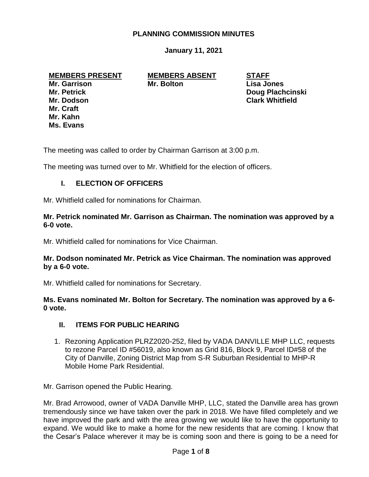### **PLANNING COMMISSION MINUTES**

**January 11, 2021**

# **MEMBERS PRESENT MEMBERS ABSENT STAFF**

**Mr. Craft Mr. Kahn Ms. Evans**

**Mr. Garrison Mr. Bolton Lisa Jones**

**Mr. Petrick Doug Plachcinski Mr. Dodson Clark Whitfield**

The meeting was called to order by Chairman Garrison at 3:00 p.m.

The meeting was turned over to Mr. Whitfield for the election of officers.

#### **I. ELECTION OF OFFICERS**

Mr. Whitfield called for nominations for Chairman.

#### **Mr. Petrick nominated Mr. Garrison as Chairman. The nomination was approved by a 6-0 vote.**

Mr. Whitfield called for nominations for Vice Chairman.

#### **Mr. Dodson nominated Mr. Petrick as Vice Chairman. The nomination was approved by a 6-0 vote.**

Mr. Whitfield called for nominations for Secretary.

**Ms. Evans nominated Mr. Bolton for Secretary. The nomination was approved by a 6- 0 vote.**

#### **II. ITEMS FOR PUBLIC HEARING**

1. Rezoning Application PLRZ2020-252, filed by VADA DANVILLE MHP LLC, requests to rezone Parcel ID #56019, also known as Grid 816, Block 9, Parcel ID#58 of the City of Danville, Zoning District Map from S-R Suburban Residential to MHP-R Mobile Home Park Residential.

Mr. Garrison opened the Public Hearing.

Mr. Brad Arrowood, owner of VADA Danville MHP, LLC, stated the Danville area has grown tremendously since we have taken over the park in 2018. We have filled completely and we have improved the park and with the area growing we would like to have the opportunity to expand. We would like to make a home for the new residents that are coming. I know that the Cesar's Palace wherever it may be is coming soon and there is going to be a need for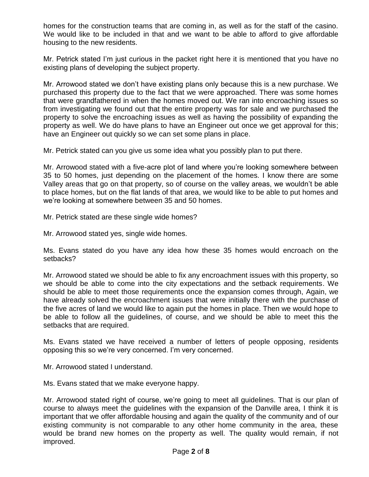homes for the construction teams that are coming in, as well as for the staff of the casino. We would like to be included in that and we want to be able to afford to give affordable housing to the new residents.

Mr. Petrick stated I'm just curious in the packet right here it is mentioned that you have no existing plans of developing the subject property.

Mr. Arrowood stated we don't have existing plans only because this is a new purchase. We purchased this property due to the fact that we were approached. There was some homes that were grandfathered in when the homes moved out. We ran into encroaching issues so from investigating we found out that the entire property was for sale and we purchased the property to solve the encroaching issues as well as having the possibility of expanding the property as well. We do have plans to have an Engineer out once we get approval for this; have an Engineer out quickly so we can set some plans in place.

Mr. Petrick stated can you give us some idea what you possibly plan to put there.

Mr. Arrowood stated with a five-acre plot of land where you're looking somewhere between 35 to 50 homes, just depending on the placement of the homes. I know there are some Valley areas that go on that property, so of course on the valley areas, we wouldn't be able to place homes, but on the flat lands of that area, we would like to be able to put homes and we're looking at somewhere between 35 and 50 homes.

Mr. Petrick stated are these single wide homes?

Mr. Arrowood stated yes, single wide homes.

Ms. Evans stated do you have any idea how these 35 homes would encroach on the setbacks?

Mr. Arrowood stated we should be able to fix any encroachment issues with this property, so we should be able to come into the city expectations and the setback requirements. We should be able to meet those requirements once the expansion comes through, Again, we have already solved the encroachment issues that were initially there with the purchase of the five acres of land we would like to again put the homes in place. Then we would hope to be able to follow all the guidelines, of course, and we should be able to meet this the setbacks that are required.

Ms. Evans stated we have received a number of letters of people opposing, residents opposing this so we're very concerned. I'm very concerned.

Mr. Arrowood stated I understand.

Ms. Evans stated that we make everyone happy.

Mr. Arrowood stated right of course, we're going to meet all guidelines. That is our plan of course to always meet the guidelines with the expansion of the Danville area, I think it is important that we offer affordable housing and again the quality of the community and of our existing community is not comparable to any other home community in the area, these would be brand new homes on the property as well. The quality would remain, if not improved.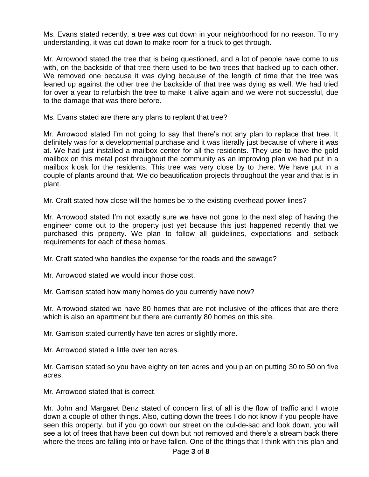Ms. Evans stated recently, a tree was cut down in your neighborhood for no reason. To my understanding, it was cut down to make room for a truck to get through.

Mr. Arrowood stated the tree that is being questioned, and a lot of people have come to us with, on the backside of that tree there used to be two trees that backed up to each other. We removed one because it was dying because of the length of time that the tree was leaned up against the other tree the backside of that tree was dying as well. We had tried for over a year to refurbish the tree to make it alive again and we were not successful, due to the damage that was there before.

Ms. Evans stated are there any plans to replant that tree?

Mr. Arrowood stated I'm not going to say that there's not any plan to replace that tree. It definitely was for a developmental purchase and it was literally just because of where it was at. We had just installed a mailbox center for all the residents. They use to have the gold mailbox on this metal post throughout the community as an improving plan we had put in a mailbox kiosk for the residents. This tree was very close by to there. We have put in a couple of plants around that. We do beautification projects throughout the year and that is in plant.

Mr. Craft stated how close will the homes be to the existing overhead power lines?

Mr. Arrowood stated I'm not exactly sure we have not gone to the next step of having the engineer come out to the property just yet because this just happened recently that we purchased this property. We plan to follow all guidelines, expectations and setback requirements for each of these homes.

Mr. Craft stated who handles the expense for the roads and the sewage?

Mr. Arrowood stated we would incur those cost.

Mr. Garrison stated how many homes do you currently have now?

Mr. Arrowood stated we have 80 homes that are not inclusive of the offices that are there which is also an apartment but there are currently 80 homes on this site.

Mr. Garrison stated currently have ten acres or slightly more.

Mr. Arrowood stated a little over ten acres.

Mr. Garrison stated so you have eighty on ten acres and you plan on putting 30 to 50 on five acres.

Mr. Arrowood stated that is correct.

Mr. John and Margaret Benz stated of concern first of all is the flow of traffic and I wrote down a couple of other things. Also, cutting down the trees I do not know if you people have seen this property, but if you go down our street on the cul-de-sac and look down, you will see a lot of trees that have been cut down but not removed and there's a stream back there where the trees are falling into or have fallen. One of the things that I think with this plan and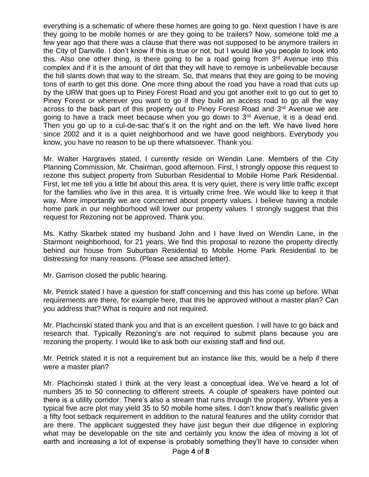everything is a schematic of where these homes are going to go. Next question I have is are they going to be mobile homes or are they going to be trailers? Now, someone told me a few year ago that there was a clause that there was not supposed to be anymore trailers in the City of Danville. I don't know if this is true or not, but I would like you people to look into this. Also one other thing, is there going to be a road going from  $3<sup>rd</sup>$  Avenue into this complex and if it is the amount of dirt that they will have to remove is unbelievable because the hill slants down that way to the stream. So, that means that they are going to be moving tons of earth to get this done. One more thing about the road you have a road that cuts up by the URW that goes up to Piney Forest Road and you got another exit to go out to get to Piney Forest or wherever you want to go if they build an access road to go all the way across to the back part of this property out to Piney Forest Road and 3<sup>rd</sup> Avenue we are going to have a track meet because when you go down to  $3<sup>rd</sup>$  Avenue, it is a dead end. Then you go up to a cul-de-sac that's it on the right and on the left. We have lived here since 2002 and it is a quiet neighborhood and we have good neighbors. Everybody you know, you have no reason to be up there whatsoever. Thank you.

Mr. Walter Hargraves stated, I currently reside on Wendin Lane. Members of the City Planning Commission, Mr. Chairman, good afternoon. First, I strongly oppose this request to rezone this subject property from Suburban Residential to Mobile Home Park Residential. First, let me tell you a little bit about this area. It is very quiet, there is very little traffic except for the families who live in this area. It is virtually crime free. We would like to keep it that way. More importantly we are concerned about property values. I believe having a mobile home park in our neighborhood will lower our property values. I strongly suggest that this request for Rezoning not be approved. Thank you.

Ms. Kathy Skarbek stated my husband John and I have lived on Wendin Lane, in the Starmont neighborhood, for 21 years. We find this proposal to rezone the property directly behind our house from Suburban Residential to Mobile Home Park Residential to be distressing for many reasons. (Please see attached letter).

Mr. Garrison closed the public hearing.

Mr. Petrick stated I have a question for staff concerning and this has come up before. What requirements are there, for example here, that this be approved without a master plan? Can you address that? What is require and not required.

Mr. Plachcinski stated thank you and that is an excellent question. I will have to go back and research that. Typically Rezoning's are not required to submit plans because you are rezoning the property. I would like to ask both our existing staff and find out.

Mr. Petrick stated it is not a requirement but an instance like this, would be a help if there were a master plan?

Mr. Plachcinski stated I think at the very least a conceptual idea. We've heard a lot of numbers 35 to 50 connecting to different streets. A couple of speakers have pointed out there is a utility corridor. There's also a stream that runs through the property. Where yes a typical five acre plot may yield 35 to 50 mobile home sites. I don't know that's realistic given a fifty foot setback requirement in addition to the natural features and the utility corridor that are there. The applicant suggested they have just begun their due diligence in exploring what may be developable on the site and certainly you know the idea of moving a lot of earth and increasing a lot of expense is probably something they'll have to consider when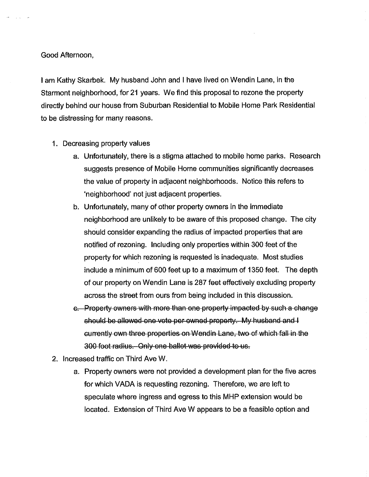#### Good Afternoon,

I am Kathy Skarbek. My husband John and I have lived on Wendin Lane, in the Starmont neighborhood, for 21 years. We find this proposal to rezone the property directly behind our house from Suburban Residential to Mobile Home Park Residential to be distressing for many reasons.

- 1. Decreasing property values
	- a. Unfortunately, there is a stigma attached to mobile home parks. Research suggests presence of Mobile Home communities significantly decreases the value of property in adjacent neighborhoods. Notice this refers to 'neighborhood' not just adjacent properties.
	- b. Unfortunately, many of other property owners in the immediate neighborhood are unlikely to be aware of this proposed change. The city should consider expanding the radius of impacted properties that are notified of rezoning. Including only properties within 300 feet of the property for which rezoning is requested is inadequate. Most studies include a minimum of 600 feet up to a maximum of 1350 feet. The depth of our property on Wendin Lane is 287 feet effectively excluding property across the street from ours from being included in this discussion.
	- c. Property owners with more than one property impacted by such a change should be allowed one vote per owned property. My husband and I currently own three properties on Wendin Lane, two of which fall in the 300 foot radius. Only one ballot was provided to us.
- 2. Increased traffic on Third Ave W.
	- a. Property owners were not provided a development plan for the five acres for which VADA is requesting rezoning. Therefore, we are left to speculate where ingress and egress to this MHP extension would be located. Extension of Third Ave W appears to be a feasible option and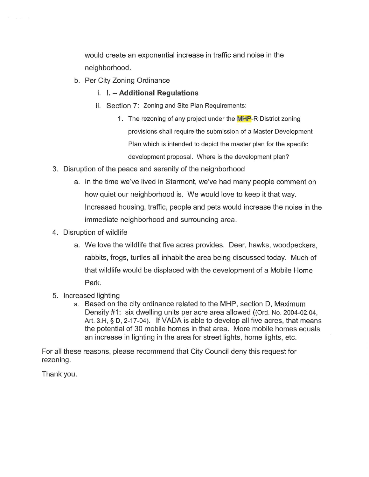would create an exponential increase in traffic and noise in the neighborhood.

- b. Per City Zoning Ordinance
	- i. I. Additional Regulations
	- ii. Section 7: Zoning and Site Plan Requirements:
		- 1. The rezoning of any project under the MHP-R District zoning provisions shall require the submission of a Master Development Plan which is intended to depict the master plan for the specific development proposal. Where is the development plan?
- 3. Disruption of the peace and serenity of the neighborhood
	- a. In the time we've lived in Starmont, we've had many people comment on how quiet our neighborhood is. We would love to keep it that way. Increased housing, traffic, people and pets would increase the noise in the immediate neighborhood and surrounding area.
- 4. Disruption of wildlife
	- a. We love the wildlife that five acres provides. Deer, hawks, woodpeckers, rabbits, frogs, turtles all inhabit the area being discussed today. Much of that wildlife would be displaced with the development of a Mobile Home Park.
- 5. Increased lighting
	- a. Based on the city ordinance related to the MHP, section D, Maximum Density #1: six dwelling units per acre area allowed ((Ord. No. 2004-02.04, Art. 3.H, § D, 2-17-04). If VADA is able to develop all five acres, that means the potential of 30 mobile homes in that area. More mobile homes equals an increase in lighting in the area for street lights, home lights, etc.

For all these reasons, please recommend that City Council deny this request for rezoning.

Thank you.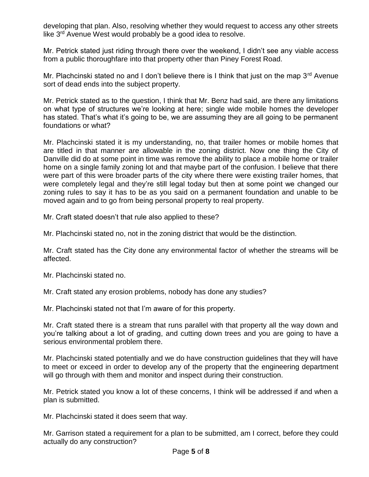developing that plan. Also, resolving whether they would request to access any other streets like 3<sup>rd</sup> Avenue West would probably be a good idea to resolve.

Mr. Petrick stated just riding through there over the weekend, I didn't see any viable access from a public thoroughfare into that property other than Piney Forest Road.

Mr. Plachcinski stated no and I don't believe there is I think that just on the map  $3^{rd}$  Avenue sort of dead ends into the subject property.

Mr. Petrick stated as to the question, I think that Mr. Benz had said, are there any limitations on what type of structures we're looking at here; single wide mobile homes the developer has stated. That's what it's going to be, we are assuming they are all going to be permanent foundations or what?

Mr. Plachcinski stated it is my understanding, no, that trailer homes or mobile homes that are titled in that manner are allowable in the zoning district. Now one thing the City of Danville did do at some point in time was remove the ability to place a mobile home or trailer home on a single family zoning lot and that maybe part of the confusion. I believe that there were part of this were broader parts of the city where there were existing trailer homes, that were completely legal and they're still legal today but then at some point we changed our zoning rules to say it has to be as you said on a permanent foundation and unable to be moved again and to go from being personal property to real property.

Mr. Craft stated doesn't that rule also applied to these?

Mr. Plachcinski stated no, not in the zoning district that would be the distinction.

Mr. Craft stated has the City done any environmental factor of whether the streams will be affected.

Mr. Plachcinski stated no.

Mr. Craft stated any erosion problems, nobody has done any studies?

Mr. Plachcinski stated not that I'm aware of for this property.

Mr. Craft stated there is a stream that runs parallel with that property all the way down and you're talking about a lot of grading, and cutting down trees and you are going to have a serious environmental problem there.

Mr. Plachcinski stated potentially and we do have construction guidelines that they will have to meet or exceed in order to develop any of the property that the engineering department will go through with them and monitor and inspect during their construction.

Mr. Petrick stated you know a lot of these concerns, I think will be addressed if and when a plan is submitted.

Mr. Plachcinski stated it does seem that way.

Mr. Garrison stated a requirement for a plan to be submitted, am I correct, before they could actually do any construction?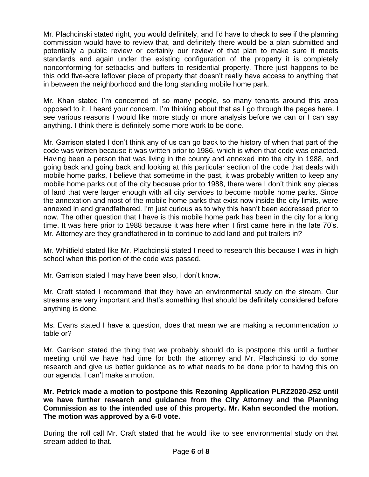Mr. Plachcinski stated right, you would definitely, and I'd have to check to see if the planning commission would have to review that, and definitely there would be a plan submitted and potentially a public review or certainly our review of that plan to make sure it meets standards and again under the existing configuration of the property it is completely nonconforming for setbacks and buffers to residential property. There just happens to be this odd five-acre leftover piece of property that doesn't really have access to anything that in between the neighborhood and the long standing mobile home park.

Mr. Khan stated I'm concerned of so many people, so many tenants around this area opposed to it. I heard your concern. I'm thinking about that as I go through the pages here. I see various reasons I would like more study or more analysis before we can or I can say anything. I think there is definitely some more work to be done.

Mr. Garrison stated I don't think any of us can go back to the history of when that part of the code was written because it was written prior to 1986, which is when that code was enacted. Having been a person that was living in the county and annexed into the city in 1988, and going back and going back and looking at this particular section of the code that deals with mobile home parks, I believe that sometime in the past, it was probably written to keep any mobile home parks out of the city because prior to 1988, there were I don't think any pieces of land that were larger enough with all city services to become mobile home parks. Since the annexation and most of the mobile home parks that exist now inside the city limits, were annexed in and grandfathered. I'm just curious as to why this hasn't been addressed prior to now. The other question that I have is this mobile home park has been in the city for a long time. It was here prior to 1988 because it was here when I first came here in the late 70's. Mr. Attorney are they grandfathered in to continue to add land and put trailers in?

Mr. Whitfield stated like Mr. Plachcinski stated I need to research this because I was in high school when this portion of the code was passed.

Mr. Garrison stated I may have been also, I don't know.

Mr. Craft stated I recommend that they have an environmental study on the stream. Our streams are very important and that's something that should be definitely considered before anything is done.

Ms. Evans stated I have a question, does that mean we are making a recommendation to table or?

Mr. Garrison stated the thing that we probably should do is postpone this until a further meeting until we have had time for both the attorney and Mr. Plachcinski to do some research and give us better guidance as to what needs to be done prior to having this on our agenda. I can't make a motion.

**Mr. Petrick made a motion to postpone this Rezoning Application PLRZ2020-252 until we have further research and guidance from the City Attorney and the Planning Commission as to the intended use of this property. Mr. Kahn seconded the motion. The motion was approved by a 6-0 vote.**

During the roll call Mr. Craft stated that he would like to see environmental study on that stream added to that.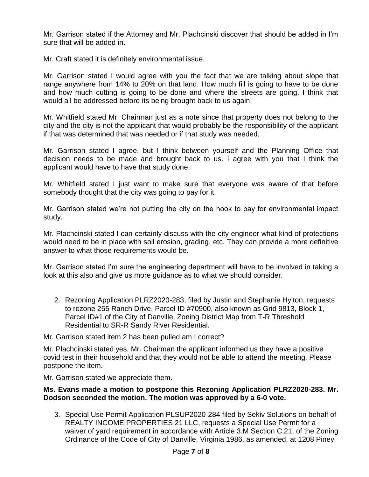Mr. Garrison stated if the Attorney and Mr. Plachcinski discover that should be added in I'm sure that will be added in.

Mr. Craft stated it is definitely environmental issue.

Mr. Garrison stated I would agree with you the fact that we are talking about slope that range anywhere from 14% to 20% on that land. How much fill is going to have to be done and how much cutting is going to be done and where the streets are going. I think that would all be addressed before its being brought back to us again.

Mr. Whitfield stated Mr. Chairman just as a note since that property does not belong to the city and the city is not the applicant that would probably be the responsibility of the applicant if that was determined that was needed or if that study was needed.

Mr. Garrison stated I agree, but I think between yourself and the Planning Office that decision needs to be made and brought back to us. I agree with you that I think the applicant would have to have that study done.

Mr. Whitfield stated I just want to make sure that everyone was aware of that before somebody thought that the city was going to pay for it.

Mr. Garrison stated we're not putting the city on the hook to pay for environmental impact study.

Mr. Plachcinski stated I can certainly discuss with the city engineer what kind of protections would need to be in place with soil erosion, grading, etc. They can provide a more definitive answer to what those requirements would be.

Mr. Garrison stated I'm sure the engineering department will have to be involved in taking a look at this also and give us more guidance as to what we should consider.

2. Rezoning Application PLRZ2020-283, filed by Justin and Stephanie Hylton, requests to rezone 255 Ranch Drive, Parcel ID #70900, also known as Grid 9813, Block 1, Parcel ID#1 of the City of Danville, Zoning District Map from T-R Threshold Residential to SR-R Sandy River Residential.

Mr. Garrison stated item 2 has been pulled am I correct?

Mr. Plachcinski stated yes, Mr. Chairman the applicant informed us they have a positive covid test in their household and that they would not be able to attend the meeting. Please postpone the item.

Mr. Garrison stated we appreciate them.

#### **Ms. Evans made a motion to postpone this Rezoning Application PLRZ2020-283. Mr. Dodson seconded the motion. The motion was approved by a 6-0 vote.**

3. Special Use Permit Application PLSUP2020-284 filed by Sekiv Solutions on behalf of REALTY INCOME PROPERTIES 21 LLC, requests a Special Use Permit for a waiver of yard requirement in accordance with Article 3.M Section C.21. of the Zoning Ordinance of the Code of City of Danville, Virginia 1986, as amended, at 1208 Piney